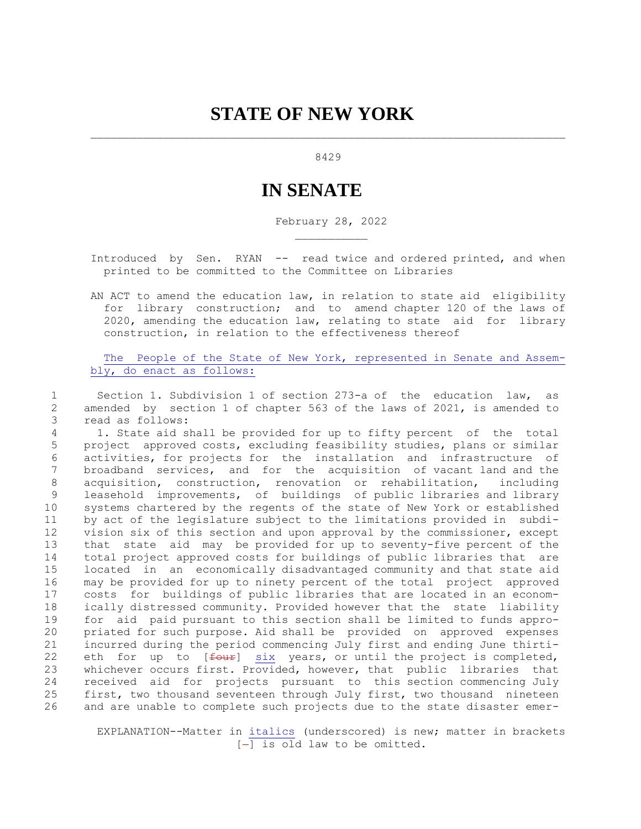## 8429

## **IN SENATE**

February 28, 2022

 Introduced by Sen. RYAN -- read twice and ordered printed, and when printed to be committed to the Committee on Libraries

 AN ACT to amend the education law, in relation to state aid eligibility for library construction; and to amend chapter 120 of the laws of 2020, amending the education law, relating to state aid for library construction, in relation to the effectiveness thereof

 The People of the State of New York, represented in Senate and Assem bly, do enact as follows:

 1 Section 1. Subdivision 1 of section 273-a of the education law, as 2 amended by section 1 of chapter 563 of the laws of 2021, is amended to 3 read as follows:

 4 1. State aid shall be provided for up to fifty percent of the total 5 project approved costs, excluding feasibility studies, plans or similar 6 activities, for projects for the installation and infrastructure of 7 broadband services, and for the acquisition of vacant land and the 8 acquisition, construction, renovation or rehabilitation, including 9 leasehold improvements, of buildings of public libraries and library 10 systems chartered by the regents of the state of New York or established 11 by act of the legislature subject to the limitations provided in subdi-12 vision six of this section and upon approval by the commissioner, except 13 that state aid may be provided for up to seventy-five percent of the 14 total project approved costs for buildings of public libraries that are 15 located in an economically disadvantaged community and that state aid 16 may be provided for up to ninety percent of the total project approved 17 costs for buildings of public libraries that are located in an econom-18 ically distressed community. Provided however that the state liability 19 for aid paid pursuant to this section shall be limited to funds appro-20 priated for such purpose. Aid shall be provided on approved expenses 21 incurred during the period commencing July first and ending June thirti-22 eth for up to  $f$   $f$   $\frac{1}{2}$   $\frac{1}{2}$  years, or until the project is completed, 23 whichever occurs first. Provided, however, that public libraries that 24 received aid for projects pursuant to this section commencing July 25 first, two thousand seventeen through July first, two thousand nineteen 26 and are unable to complete such projects due to the state disaster emer-

 EXPLANATION--Matter in italics (underscored) is new; matter in brackets  $[-]$  is old law to be omitted.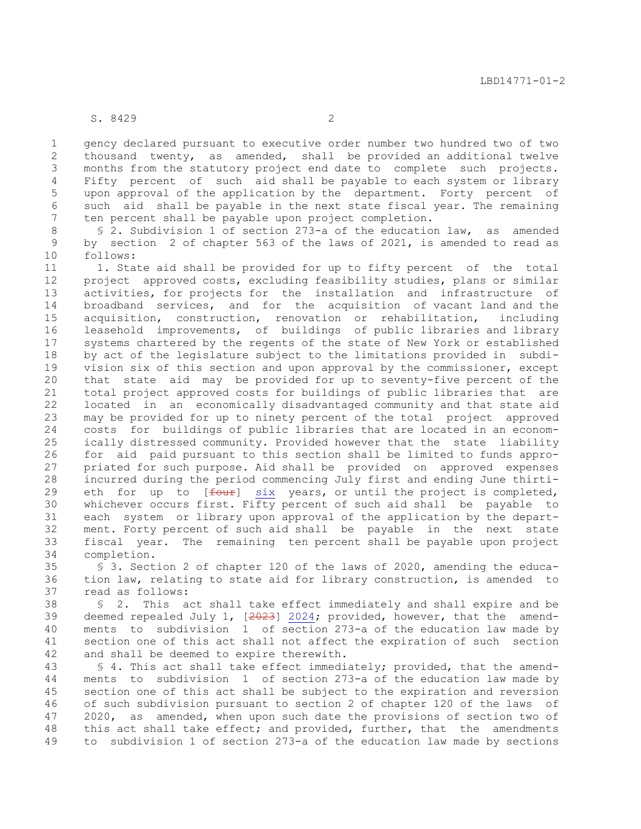## S. 8429 2

 1 gency declared pursuant to executive order number two hundred two of two 2 thousand twenty, as amended, shall be provided an additional twelve 3 months from the statutory project end date to complete such projects. 4 Fifty percent of such aid shall be payable to each system or library 5 upon approval of the application by the department. Forty percent of 6 such aid shall be payable in the next state fiscal year. The remaining 7 ten percent shall be payable upon project completion.

 8 § 2. Subdivision 1 of section 273-a of the education law, as amended 9 by section 2 of chapter 563 of the laws of 2021, is amended to read as 10 follows:

11 1. State aid shall be provided for up to fifty percent of the total 12 project approved costs, excluding feasibility studies, plans or similar 13 activities, for projects for the installation and infrastructure of 14 broadband services, and for the acquisition of vacant land and the 15 acquisition, construction, renovation or rehabilitation, including 16 leasehold improvements, of buildings of public libraries and library 17 systems chartered by the regents of the state of New York or established 18 by act of the legislature subject to the limitations provided in subdi-19 vision six of this section and upon approval by the commissioner, except 20 that state aid may be provided for up to seventy-five percent of the 21 total project approved costs for buildings of public libraries that are 22 located in an economically disadvantaged community and that state aid 23 may be provided for up to ninety percent of the total project approved 24 costs for buildings of public libraries that are located in an econom-25 ically distressed community. Provided however that the state liability 26 for aid paid pursuant to this section shall be limited to funds appro-27 priated for such purpose. Aid shall be provided on approved expenses 28 incurred during the period commencing July first and ending June thirti-29 eth for up to  $[$ <del>four</del>] six years, or until the project is completed, 30 whichever occurs first. Fifty percent of such aid shall be payable to 31 each system or library upon approval of the application by the depart-32 ment. Forty percent of such aid shall be payable in the next state 33 fiscal year. The remaining ten percent shall be payable upon project 34 completion.

35 § 3. Section 2 of chapter 120 of the laws of 2020, amending the educa-36 tion law, relating to state aid for library construction, is amended to 37 read as follows:

38 § 2. This act shall take effect immediately and shall expire and be 39 deemed repealed July 1, [2023] 2024; provided, however, that the amend-40 ments to subdivision 1 of section 273-a of the education law made by 41 section one of this act shall not affect the expiration of such section 42 and shall be deemed to expire therewith.

43 § 4. This act shall take effect immediately; provided, that the amend-44 ments to subdivision 1 of section 273-a of the education law made by 45 section one of this act shall be subject to the expiration and reversion 46 of such subdivision pursuant to section 2 of chapter 120 of the laws of 47 2020, as amended, when upon such date the provisions of section two of 48 this act shall take effect; and provided, further, that the amendments 49 to subdivision 1 of section 273-a of the education law made by sections